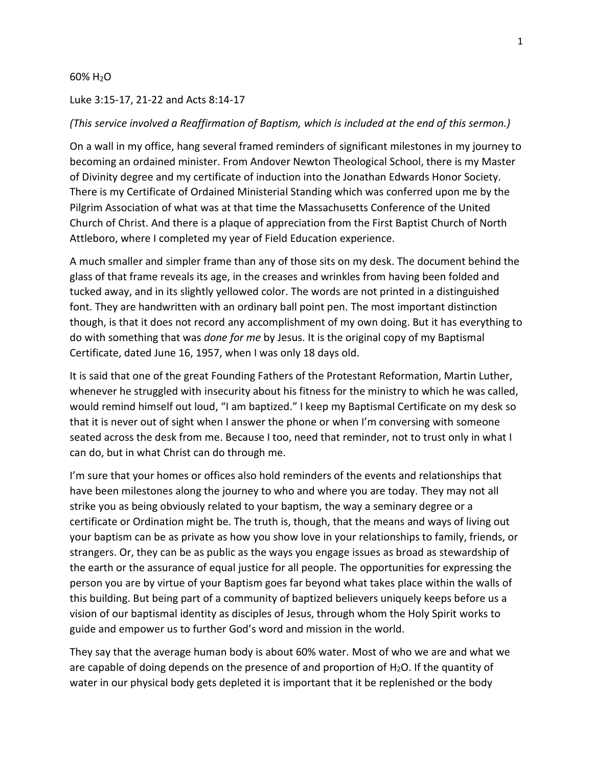## 60% H2O

## Luke 3:15-17, 21-22 and Acts 8:14-17

## *(This service involved a Reaffirmation of Baptism, which is included at the end of this sermon.)*

On a wall in my office, hang several framed reminders of significant milestones in my journey to becoming an ordained minister. From Andover Newton Theological School, there is my Master of Divinity degree and my certificate of induction into the Jonathan Edwards Honor Society. There is my Certificate of Ordained Ministerial Standing which was conferred upon me by the Pilgrim Association of what was at that time the Massachusetts Conference of the United Church of Christ. And there is a plaque of appreciation from the First Baptist Church of North Attleboro, where I completed my year of Field Education experience.

A much smaller and simpler frame than any of those sits on my desk. The document behind the glass of that frame reveals its age, in the creases and wrinkles from having been folded and tucked away, and in its slightly yellowed color. The words are not printed in a distinguished font. They are handwritten with an ordinary ball point pen. The most important distinction though, is that it does not record any accomplishment of my own doing. But it has everything to do with something that was *done for me* by Jesus. It is the original copy of my Baptismal Certificate, dated June 16, 1957, when I was only 18 days old.

It is said that one of the great Founding Fathers of the Protestant Reformation, Martin Luther, whenever he struggled with insecurity about his fitness for the ministry to which he was called, would remind himself out loud, "I am baptized." I keep my Baptismal Certificate on my desk so that it is never out of sight when I answer the phone or when I'm conversing with someone seated across the desk from me. Because I too, need that reminder, not to trust only in what I can do, but in what Christ can do through me.

I'm sure that your homes or offices also hold reminders of the events and relationships that have been milestones along the journey to who and where you are today. They may not all strike you as being obviously related to your baptism, the way a seminary degree or a certificate or Ordination might be. The truth is, though, that the means and ways of living out your baptism can be as private as how you show love in your relationships to family, friends, or strangers. Or, they can be as public as the ways you engage issues as broad as stewardship of the earth or the assurance of equal justice for all people. The opportunities for expressing the person you are by virtue of your Baptism goes far beyond what takes place within the walls of this building. But being part of a community of baptized believers uniquely keeps before us a vision of our baptismal identity as disciples of Jesus, through whom the Holy Spirit works to guide and empower us to further God's word and mission in the world.

They say that the average human body is about 60% water. Most of who we are and what we are capable of doing depends on the presence of and proportion of  $H_2O$ . If the quantity of water in our physical body gets depleted it is important that it be replenished or the body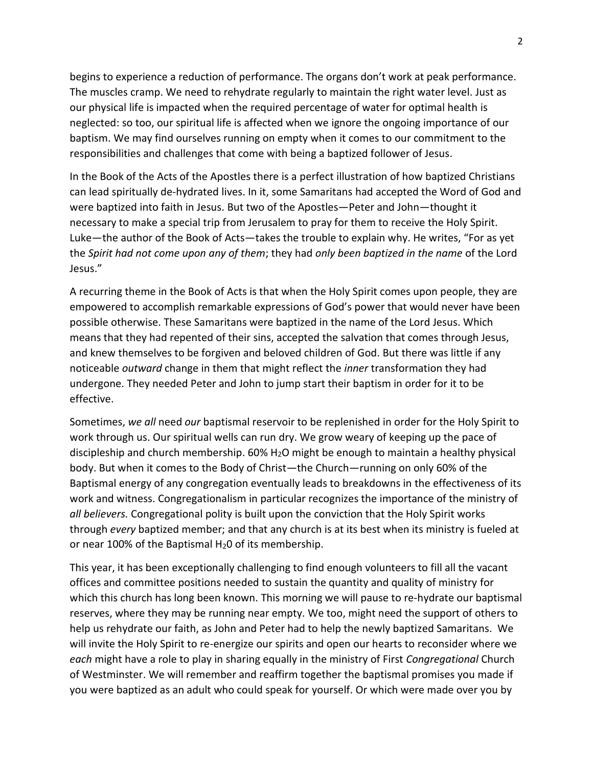begins to experience a reduction of performance. The organs don't work at peak performance. The muscles cramp. We need to rehydrate regularly to maintain the right water level. Just as our physical life is impacted when the required percentage of water for optimal health is neglected: so too, our spiritual life is affected when we ignore the ongoing importance of our baptism. We may find ourselves running on empty when it comes to our commitment to the responsibilities and challenges that come with being a baptized follower of Jesus.

In the Book of the Acts of the Apostles there is a perfect illustration of how baptized Christians can lead spiritually de-hydrated lives. In it, some Samaritans had accepted the Word of God and were baptized into faith in Jesus. But two of the Apostles—Peter and John—thought it necessary to make a special trip from Jerusalem to pray for them to receive the Holy Spirit. Luke—the author of the Book of Acts—takes the trouble to explain why. He writes, "For as yet the *Spirit had not come upon any of them*; they had *only been baptized in the name* of the Lord Jesus."

A recurring theme in the Book of Acts is that when the Holy Spirit comes upon people, they are empowered to accomplish remarkable expressions of God's power that would never have been possible otherwise. These Samaritans were baptized in the name of the Lord Jesus. Which means that they had repented of their sins, accepted the salvation that comes through Jesus, and knew themselves to be forgiven and beloved children of God. But there was little if any noticeable *outward* change in them that might reflect the *inner* transformation they had undergone. They needed Peter and John to jump start their baptism in order for it to be effective.

Sometimes, *we all* need *our* baptismal reservoir to be replenished in order for the Holy Spirit to work through us. Our spiritual wells can run dry. We grow weary of keeping up the pace of discipleship and church membership.  $60\%$  H<sub>2</sub>O might be enough to maintain a healthy physical body. But when it comes to the Body of Christ—the Church—running on only 60% of the Baptismal energy of any congregation eventually leads to breakdowns in the effectiveness of its work and witness. Congregationalism in particular recognizes the importance of the ministry of *all believers.* Congregational polity is built upon the conviction that the Holy Spirit works through *every* baptized member; and that any church is at its best when its ministry is fueled at or near 100% of the Baptismal  $H_2$ 0 of its membership.

This year, it has been exceptionally challenging to find enough volunteers to fill all the vacant offices and committee positions needed to sustain the quantity and quality of ministry for which this church has long been known. This morning we will pause to re-hydrate our baptismal reserves, where they may be running near empty. We too, might need the support of others to help us rehydrate our faith, as John and Peter had to help the newly baptized Samaritans. We will invite the Holy Spirit to re-energize our spirits and open our hearts to reconsider where we *each* might have a role to play in sharing equally in the ministry of First *Congregational* Church of Westminster. We will remember and reaffirm together the baptismal promises you made if you were baptized as an adult who could speak for yourself. Or which were made over you by